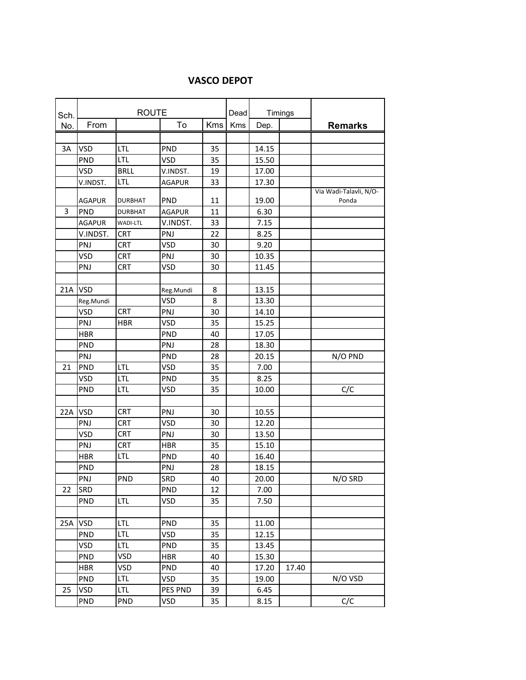## **VASCO DEPOT**

| Sch. | <b>ROUTE</b>  |                |               |            | Dead | Timings |       |                        |
|------|---------------|----------------|---------------|------------|------|---------|-------|------------------------|
| No.  | From          |                | To            | <b>Kms</b> | Kms  | Dep.    |       | <b>Remarks</b>         |
|      |               |                |               |            |      |         |       |                        |
| 3A   | <b>VSD</b>    | <b>LTL</b>     | PND           | 35         |      | 14.15   |       |                        |
|      | PND           | <b>LTL</b>     | <b>VSD</b>    | 35         |      | 15.50   |       |                        |
|      | <b>VSD</b>    | <b>BRLL</b>    | V.INDST.      | 19         |      | 17.00   |       |                        |
|      | V.INDST.      | <b>LTL</b>     | <b>AGAPUR</b> | 33         |      | 17.30   |       |                        |
|      |               |                |               |            |      |         |       | Via Wadi-Talavli, N/O- |
|      | <b>AGAPUR</b> | <b>DURBHAT</b> | <b>PND</b>    | 11         |      | 19.00   |       | Ponda                  |
| 3    | <b>PND</b>    | <b>DURBHAT</b> | <b>AGAPUR</b> | 11         |      | 6.30    |       |                        |
|      | <b>AGAPUR</b> | WADI-LTL       | V.INDST.      | 33         |      | 7.15    |       |                        |
|      | V.INDST.      | <b>CRT</b>     | PNJ           | 22         |      | 8.25    |       |                        |
|      | PNJ           | <b>CRT</b>     | <b>VSD</b>    | 30         |      | 9.20    |       |                        |
|      | <b>VSD</b>    | CRT            | PNJ           | 30         |      | 10.35   |       |                        |
|      | PNJ           | <b>CRT</b>     | VSD           | 30         |      | 11.45   |       |                        |
|      |               |                |               |            |      |         |       |                        |
| 21A  | <b>VSD</b>    |                | Reg.Mundi     | 8          |      | 13.15   |       |                        |
|      | Reg.Mundi     |                | <b>VSD</b>    | 8          |      | 13.30   |       |                        |
|      | <b>VSD</b>    | <b>CRT</b>     | PNJ           | 30         |      | 14.10   |       |                        |
|      | PNJ           | <b>HBR</b>     | VSD           | 35         |      | 15.25   |       |                        |
|      | <b>HBR</b>    |                | PND           | 40         |      | 17.05   |       |                        |
|      | PND           |                | PNJ           | 28         |      | 18.30   |       |                        |
|      | PNJ           |                | PND           | 28         |      | 20.15   |       | N/O PND                |
| 21   | <b>PND</b>    | <b>LTL</b>     | <b>VSD</b>    | 35         |      | 7.00    |       |                        |
|      | <b>VSD</b>    | LTL            | PND           | 35         |      | 8.25    |       |                        |
|      | <b>PND</b>    | LTL            | VSD           | 35         |      | 10.00   |       | C/C                    |
|      |               |                |               |            |      |         |       |                        |
| 22A  | <b>VSD</b>    | <b>CRT</b>     | PNJ           | 30         |      | 10.55   |       |                        |
|      | PNJ           | <b>CRT</b>     | <b>VSD</b>    | 30         |      | 12.20   |       |                        |
|      | VSD           | <b>CRT</b>     | PNJ           | 30         |      | 13.50   |       |                        |
|      | PNJ           | <b>CRT</b>     | <b>HBR</b>    | 35         |      | 15.10   |       |                        |
|      | <b>HBR</b>    | LTL            | PND           | 40         |      | 16.40   |       |                        |
|      | <b>PND</b>    |                | PNJ           | 28         |      | 18.15   |       |                        |
|      | PNJ           | <b>PND</b>     | SRD           | 40         |      | 20.00   |       | N/O SRD                |
| 22   | <b>SRD</b>    |                | PND           | 12         |      | 7.00    |       |                        |
|      | <b>PND</b>    | LTL            | VSD           | 35         |      | 7.50    |       |                        |
|      |               |                |               |            |      |         |       |                        |
| 25A  | <b>VSD</b>    | <b>LTL</b>     | <b>PND</b>    | 35         |      | 11.00   |       |                        |
|      | PND           | LTL            | VSD           | 35         |      | 12.15   |       |                        |
|      | VSD           | <b>LTL</b>     | <b>PND</b>    | 35         |      | 13.45   |       |                        |
|      | <b>PND</b>    | VSD            | <b>HBR</b>    | 40         |      | 15.30   |       |                        |
|      | HBR           | VSD            | <b>PND</b>    | 40         |      | 17.20   | 17.40 |                        |
|      | <b>PND</b>    | <b>LTL</b>     | VSD           | 35         |      | 19.00   |       | N/O VSD                |
| 25   | VSD           | <b>LTL</b>     | PES PND       | 39         |      | 6.45    |       |                        |
|      | <b>PND</b>    | <b>PND</b>     | VSD           | 35         |      | 8.15    |       | C/C                    |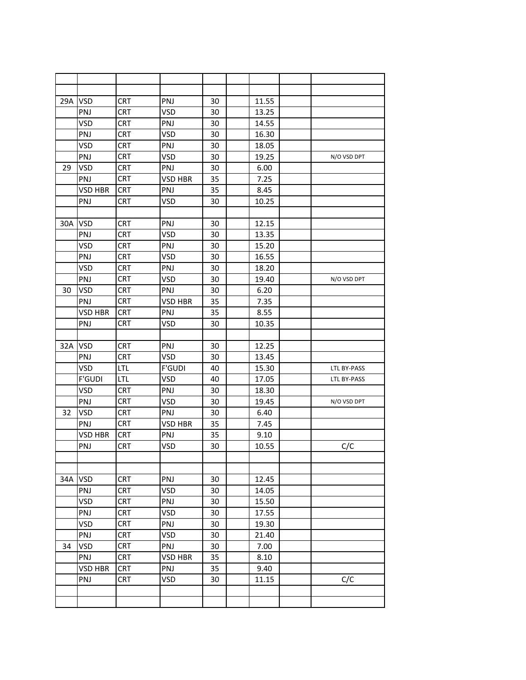| 29A | <b>VSD</b>     | <b>CRT</b> | PNJ            | 30 | 11.55 |             |
|-----|----------------|------------|----------------|----|-------|-------------|
|     | PNJ            | <b>CRT</b> | VSD            | 30 | 13.25 |             |
|     | <b>VSD</b>     | <b>CRT</b> | PNJ            | 30 | 14.55 |             |
|     | <b>PNJ</b>     | <b>CRT</b> | <b>VSD</b>     | 30 | 16.30 |             |
|     | <b>VSD</b>     | <b>CRT</b> | PNJ            | 30 | 18.05 |             |
|     | PNJ            | <b>CRT</b> | VSD            | 30 | 19.25 | N/O VSD DPT |
| 29  | <b>VSD</b>     | <b>CRT</b> | PNJ            | 30 | 6.00  |             |
|     | PNJ            | <b>CRT</b> | <b>VSD HBR</b> | 35 | 7.25  |             |
|     | <b>VSD HBR</b> | <b>CRT</b> | PNJ            | 35 | 8.45  |             |
|     | PNJ            | <b>CRT</b> | VSD            | 30 | 10.25 |             |
|     |                |            |                |    |       |             |
| 30A | <b>VSD</b>     | <b>CRT</b> | PNJ            | 30 | 12.15 |             |
|     | PNJ            | <b>CRT</b> | <b>VSD</b>     | 30 | 13.35 |             |
|     | <b>VSD</b>     | <b>CRT</b> | PNJ            | 30 | 15.20 |             |
|     | PNJ            | <b>CRT</b> | <b>VSD</b>     | 30 | 16.55 |             |
|     | <b>VSD</b>     | <b>CRT</b> | PNJ            | 30 | 18.20 |             |
|     | <b>PNJ</b>     | <b>CRT</b> | <b>VSD</b>     | 30 | 19.40 | N/O VSD DPT |
| 30  | VSD            | <b>CRT</b> | PNJ            | 30 | 6.20  |             |
|     | PNJ            | <b>CRT</b> | VSD HBR        | 35 | 7.35  |             |
|     | <b>VSD HBR</b> | <b>CRT</b> | PNJ            | 35 | 8.55  |             |
|     | PNJ            | <b>CRT</b> | <b>VSD</b>     | 30 | 10.35 |             |
|     |                |            |                |    |       |             |
| 32A | <b>VSD</b>     | <b>CRT</b> | PNJ            | 30 | 12.25 |             |
|     | PNJ            | <b>CRT</b> | <b>VSD</b>     | 30 | 13.45 |             |
|     | <b>VSD</b>     | LTL        | <b>F'GUDI</b>  | 40 | 15.30 | LTL BY-PASS |
|     | <b>F'GUDI</b>  | LTL        | <b>VSD</b>     | 40 | 17.05 | LTL BY-PASS |
|     | VSD            | <b>CRT</b> | PNJ            | 30 | 18.30 |             |
|     | PNJ            | <b>CRT</b> | VSD            | 30 | 19.45 | N/O VSD DPT |
| 32  | VSD            | <b>CRT</b> | <b>PNJ</b>     | 30 | 6.40  |             |
|     | <b>PNJ</b>     | <b>CRT</b> | <b>VSD HBR</b> | 35 | 7.45  |             |
|     | <b>VSD HBR</b> | <b>CRT</b> | PNJ            | 35 | 9.10  |             |
|     | PNJ            | <b>CRT</b> | VSD            | 30 | 10.55 | C/C         |
|     |                |            |                |    |       |             |
|     |                |            |                |    |       |             |
| 34A | <b>VSD</b>     | <b>CRT</b> | PNJ            | 30 | 12.45 |             |
|     | PNJ            | <b>CRT</b> | VSD            | 30 | 14.05 |             |
|     | VSD            | <b>CRT</b> | PNJ            | 30 | 15.50 |             |
|     | PNJ            | <b>CRT</b> | VSD            | 30 | 17.55 |             |
|     | VSD            | <b>CRT</b> | PNJ            | 30 | 19.30 |             |
|     | PNJ            | <b>CRT</b> | <b>VSD</b>     | 30 | 21.40 |             |
| 34  | VSD            | <b>CRT</b> | PNJ            | 30 | 7.00  |             |
|     | <b>PNJ</b>     | <b>CRT</b> | VSD HBR        | 35 | 8.10  |             |
|     | <b>VSD HBR</b> | <b>CRT</b> | PNJ            | 35 | 9.40  |             |
|     | PNJ            | <b>CRT</b> | VSD            | 30 | 11.15 | C/C         |
|     |                |            |                |    |       |             |
|     |                |            |                |    |       |             |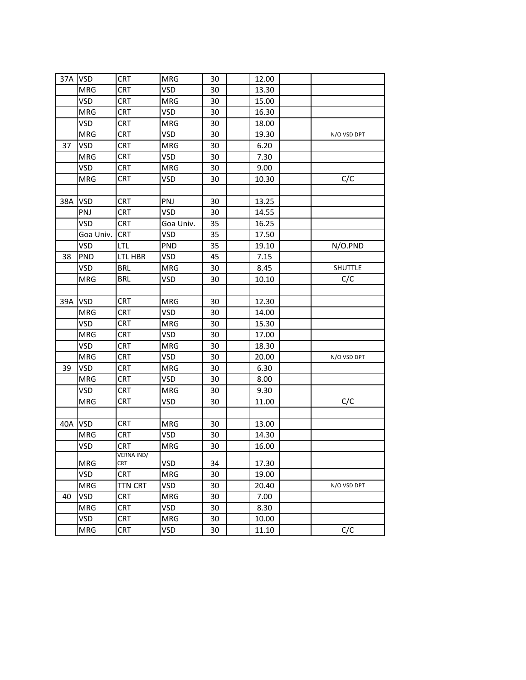|     | 37A VSD    | <b>CRT</b>        | <b>MRG</b> | 30 | 12.00 |             |
|-----|------------|-------------------|------------|----|-------|-------------|
|     | <b>MRG</b> | <b>CRT</b>        | VSD        | 30 | 13.30 |             |
|     | VSD        | <b>CRT</b>        | <b>MRG</b> | 30 | 15.00 |             |
|     | <b>MRG</b> | <b>CRT</b>        | VSD        | 30 | 16.30 |             |
|     | VSD        | <b>CRT</b>        | <b>MRG</b> | 30 | 18.00 |             |
|     | MRG        | CRT               | VSD        | 30 | 19.30 | N/O VSD DPT |
| 37  | VSD        | <b>CRT</b>        | <b>MRG</b> | 30 | 6.20  |             |
|     | <b>MRG</b> | <b>CRT</b>        | VSD        | 30 | 7.30  |             |
|     | VSD        | <b>CRT</b>        | <b>MRG</b> | 30 | 9.00  |             |
|     | <b>MRG</b> | <b>CRT</b>        | VSD        | 30 | 10.30 | C/C         |
|     |            |                   |            |    |       |             |
| 38A | <b>VSD</b> | <b>CRT</b>        | PNJ        | 30 | 13.25 |             |
|     | PNJ        | CRT               | VSD        | 30 | 14.55 |             |
|     | VSD        | <b>CRT</b>        | Goa Univ.  | 35 | 16.25 |             |
|     | Goa Univ.  | <b>CRT</b>        | <b>VSD</b> | 35 | 17.50 |             |
|     | <b>VSD</b> | <b>LTL</b>        | <b>PND</b> | 35 | 19.10 | N/O.PND     |
| 38  | <b>PND</b> | LTL HBR           | VSD        | 45 | 7.15  |             |
|     | <b>VSD</b> | <b>BRL</b>        | <b>MRG</b> | 30 | 8.45  | SHUTTLE     |
|     | MRG        | <b>BRL</b>        | VSD        | 30 | 10.10 | C/C         |
|     |            |                   |            |    |       |             |
| 39A | <b>VSD</b> | <b>CRT</b>        | <b>MRG</b> | 30 | 12.30 |             |
|     | <b>MRG</b> | <b>CRT</b>        | VSD        | 30 | 14.00 |             |
|     | VSD        | <b>CRT</b>        | <b>MRG</b> | 30 | 15.30 |             |
|     | <b>MRG</b> | <b>CRT</b>        | VSD        | 30 | 17.00 |             |
|     | VSD        | CRT               | <b>MRG</b> | 30 | 18.30 |             |
|     | <b>MRG</b> | <b>CRT</b>        | VSD        | 30 | 20.00 | N/O VSD DPT |
| 39  | VSD        | <b>CRT</b>        | <b>MRG</b> | 30 | 6.30  |             |
|     | <b>MRG</b> | <b>CRT</b>        | VSD        | 30 | 8.00  |             |
|     | VSD        | <b>CRT</b>        | <b>MRG</b> | 30 | 9.30  |             |
|     | <b>MRG</b> | <b>CRT</b>        | VSD        | 30 | 11.00 | C/C         |
|     |            |                   |            |    |       |             |
| 40A | <b>VSD</b> | <b>CRT</b>        | <b>MRG</b> | 30 | 13.00 |             |
|     | <b>MRG</b> | <b>CRT</b>        | <b>VSD</b> | 30 | 14.30 |             |
|     | VSD        | <b>CRT</b>        | <b>MRG</b> | 30 | 16.00 |             |
|     |            | <b>VERNA IND/</b> |            |    |       |             |
|     | <b>MRG</b> | <b>CRT</b>        | VSD        | 34 | 17.30 |             |
|     | VSD        | <b>CRT</b>        | <b>MRG</b> | 30 | 19.00 |             |
|     | <b>MRG</b> | <b>TTN CRT</b>    | VSD        | 30 | 20.40 | N/O VSD DPT |
| 40  | VSD        | <b>CRT</b>        | <b>MRG</b> | 30 | 7.00  |             |
|     | MRG        | <b>CRT</b>        | <b>VSD</b> | 30 | 8.30  |             |
|     | VSD        | <b>CRT</b>        | <b>MRG</b> | 30 | 10.00 |             |
|     | MRG        | CRT               | VSD        | 30 | 11.10 | C/C         |